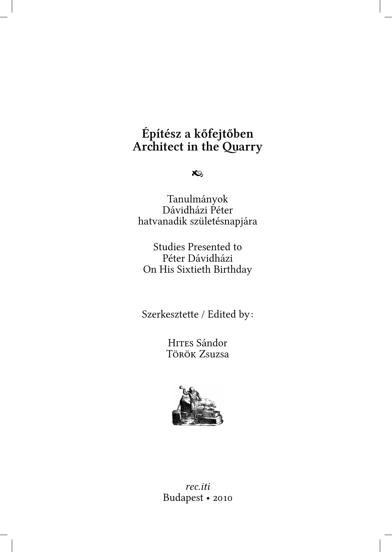# **Építész a kőfejtőben Architect in the Quarry**

 $x_9$ 

Tanulmányok Dávidházi Péter hatvanadik születésnapjára

Studies Presented to Péter Dávidházi On His Sixtieth Birthday

Szerkesztette / Edited by:

HITES Sándor Török Zsuzsa



*rec.iti* Budapest •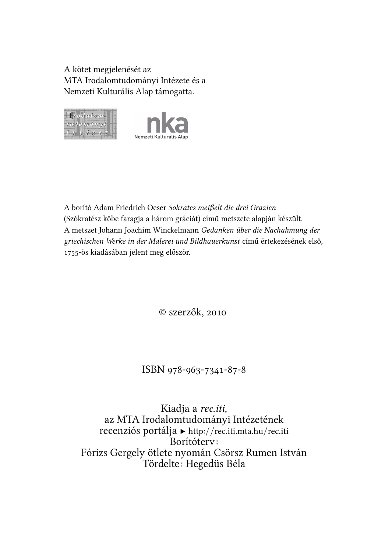A kötet megjelenését az MTA Irodalomtudományi Intézete és a Nemzeti Kulturális Alap támogatta.



A borító Adam Friedrich Oeser Sokrates meißelt die drei Grazien (Szókratész kőbe faragja a három gráciát) című metszete alapján készült. A metszet Johann Joachim Winckelmann *Gedanken über die Nachahmung der grieisen Werke in der Malerei und Bildhauerkunst* című értekezésének első, 1755-ös kiadásában jelent meg először.

© szerzők,

ISBN 978-963-7341-87-8

Kiadja a *rec.iti,* az MTA Irodalomtudományi Intézetének recenziós portálja ▶ http:*//*[rec.iti.mta.hu](http://rec.iti.mta.hu/rec.iti)*/*rec.iti Borítóterv: Fórizs Gergely ötlete nyomán Csörsz Rumen István Tördelte: Hegedüs Béla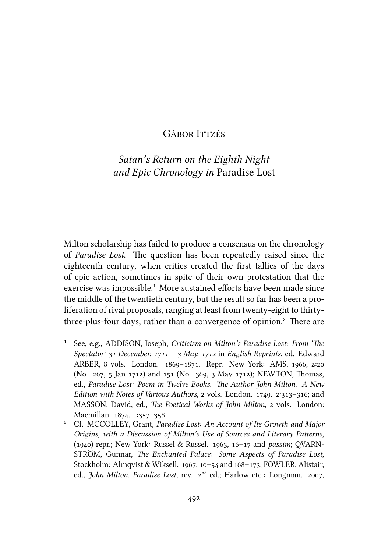### **GÁBOR ITTZÉS**

## *Satan's Return on the Eighth Night and Epic Chronology in* Paradise Lost

Milton scholarship has failed to produce a consensus on the chronology of *Paradise Lost*. The question has been repeatedly raised since the eighteenth century, when critics created the first tallies of the days of epic action, sometimes in spite of their own protestation that the exercise was impossible.<sup>1</sup> More sustained efforts have been made since the middle of the twentieth century, but the result so far has been a proliferation of rival proposals, ranging at least from twenty-eight to thirtythree-plus-four days, rather than a convergence of opinion.<sup>2</sup> There are

- <sup>1</sup> See, e.g., ADDISON, Joseph, *Criticism on Milton's Paradise Lost: From 'The Spectator' 31 December, 1711 - 3 May, 1712 in English Reprints, ed. Edward* ARBER, 8 vols. London. 1869-1871. Repr. New York: AMS, 1966, 2:20 (No. 267, 5 Jan 1712) and 151 (No. 369, 3 May 1712); NEWTON, Thomas, ed., Paradise Lost: Poem in Twelve Books. The Author John Milton. A New *Edition with Notes of Various Authors, 2 vols. London.* 1749. 2:313-316; and MASSON, David, ed., *The Poetical Works of John Milton*, 2 vols. London: Macmillan. 1874. 1:357-358.
- ² Cf. MCCOLLEY, Grant, *Paradise Lost: An Account of Its Growth and Major Origins, with a Discussion of Milton's Use of Sources and Literary Patterns,* (1940) repr.; New York: Russel & Russel. 1963, 16-17 and *passim*; QVARN-STRÖM, Gunnar, *The Enchanted Palace: Some Aspects of Paradise Lost*, Stockholm: Almqvist & Wiksell. 1967, 10-54 and 168-173; FOWLER, Alistair, ed., *John Milton, Paradise Lost*, rev.  $2^{nd}$  ed.; Harlow etc.: Longman. 2007,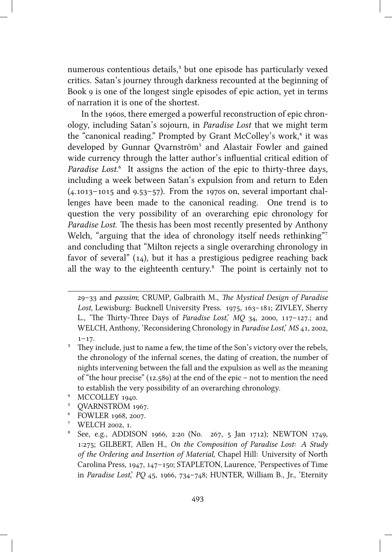numerous contentious details,<sup>3</sup> but one episode has particularly vexed critics. Satan's journey through darkness recounted at the beginning of Book 9 is one of the longest single episodes of epic action, yet in terms of narration it is one of the shortest.

In the 1960s, there emerged a powerful reconstruction of epic chronology, including Satan's sojourn, in *Paradise Lost* that we might term the "canonical reading." Prompted by Grant McColley's work,<sup>4</sup> it was developed by Gunnar Qvarnström<sup>5</sup> and Alastair Fowler and gained wide currency through the latter author's influential critical edition of *Paradise Lost.*<sup>6</sup> It assigns the action of the epic to thirty-three days, including a week between Satan's expulsion from and return to Eden  $(4.1013-1015$  and  $9.53-57)$ . From the 1970s on, several important challenges have been made to the canonical reading. One trend is to question the very possibility of an overarching epic chronology for *Paradise Lost*. The thesis has been most recently presented by Anthony Welch, "arguing that the idea of chronology itself needs rethinking" and concluding that "Milton rejects a single overarching chronology in favor of several"  $(14)$ , but it has a prestigious pedigree reaching back all the way to the eighteenth century.<sup>8</sup> The point is certainly not to

- <sup>4</sup> MCCOLLEY 1940.
- <sup>5</sup> QVARNSTRÖM 1967.
- <sup>6</sup> FOWLER 1968, 2007.
- <sup>7</sup> WELCH 2002, 1.

<sup>–</sup> and *passim*; CRUMP, Galbraith M., *e Mystical Design of Paradise* Lost, Lewisburg: Bucknell University Press. 1975, 163-181; ZIVLEY, Sherry L., 'The Thirty-Three Days of *Paradise Lost*', MQ 34, 2000, 117-127.; and WELCH, Anthony, 'Reconsidering Chronology in *Paradise Lost*,' *MS* 41, 2002,  $1 - 17$ .

 $3$  They include, just to name a few, the time of the Son's victory over the rebels, the chronology of the infernal scenes, the dating of creation, the number of nights intervening between the fall and the expulsion as well as the meaning of "the hour precise"  $(12.589)$  at the end of the epic – not to mention the need to establish the very possibility of an overarching chronology.

 $^8$  See, e.g., ADDISON 1966, 2:20 (No. 267, 5 Jan 1712); NEWTON 1749, :; GILBERT, Allen H., *On the Composition of Paradise Lost: A Study of the Ordering and Insertion of Material*, Chapel Hill: University of North Carolina Press, 1947, 147-150; STAPLETON, Laurence, 'Perspectives of Time in *Paradise Lost*,' *PQ* 45, 1966, 734-748; HUNTER, William B., Jr., 'Eternity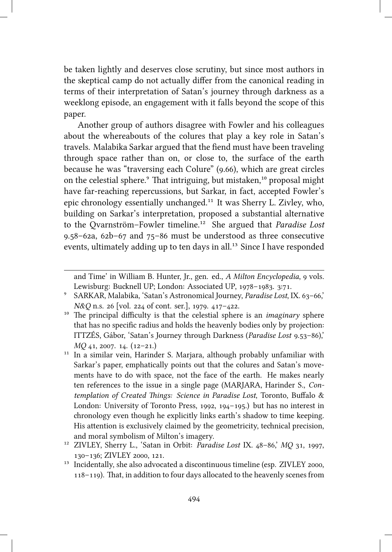be taken lightly and deserves close scrutiny, but since most authors in the skeptical camp do not actually differ from the canonical reading in terms of their interpretation of Satan's journey through darkness as a weeklong episode, an engagement with it falls beyond the scope of this paper.

Another group of authors disagree with Fowler and his colleagues about the whereabouts of the colures that play a key role in Satan's travels. Malabika Sarkar argued that the fiend must have been traveling through space rather than on, or close to, the surface of the earth because he was "traversing each Colure" (9.66), which are great circles on the celestial sphere.<sup>9</sup> That intriguing, but mistaken,<sup>10</sup> proposal might have far-reaching repercussions, but Sarkar, in fact, accepted Fowler's epic chronology essentially unchanged.<sup>11</sup> It was Sherry L. Zivley, who, building on Sarkar's interpretation, proposed a substantial alternative to the Ovarnström–Fowler timeline.<sup>12</sup> She argued that *Paradise Lost*  $9.58 - 62a$ ,  $62b - 67$  and  $75 - 86$  must be understood as three consecutive events, ultimately adding up to ten days in all.<sup>13</sup> Since I have responded

and Time' in William B. Hunter, Jr., gen. ed., *A Milton Encyclopedia*, 9 vols. Lewisburg: Bucknell UP; London: Associated UP, 1978-1983. 3:71.

<sup>&</sup>lt;sup>9</sup> SARKAR, Malabika, 'Satan's Astronomical Journey, *Paradise Lost*, IX. 63-66,' *N&Q* n.s. 26 [vol. 224 of cont. ser.], 1979. 417-422.

<sup>&</sup>lt;sup>10</sup> The principal difficulty is that the celestial sphere is an *imaginary* sphere that has no specific radius and holds the heavenly bodies only by projection: ITTZÉS, Gábor, 'Satan's Journey through Darkness (*Paradise Lost* 9.53-86),' *MQ* 41, 2007. 14. (12-21.)

 $11$  In a similar vein, Harinder S. Marjara, although probably unfamiliar with Sarkar's paper, emphatically points out that the colures and Satan's movements have to do with space, not the face of the earth. He makes nearly ten references to the issue in a single page (MARJARA, Harinder S., *Contemplation of Created Things: Science in Paradise Lost*, Toronto, Buffalo & London: University of Toronto Press,  $1992$ ,  $194-195$ .) but has no interest in chronology even though he explicitly links earth's shadow to time keeping. His attention is exclusively claimed by the geometricity, technical precision, and moral symbolism of Milton's imagery.

<sup>&</sup>lt;sup>12</sup> ZIVLEY, Sherry L., 'Satan in Orbit: *Paradise Lost* IX. 48-86,' MQ 31, 1997, 130-136; ZIVLEY 2000, 121.

<sup>&</sup>lt;sup>13</sup> Incidentally, she also advocated a discontinuous timeline (esp. ZIVLEY 2000, 118-119). That, in addition to four days allocated to the heavenly scenes from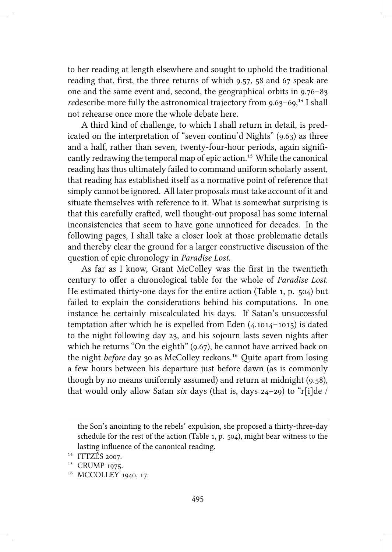to her reading at length elsewhere and sought to uphold the traditional reading that, first, the three returns of which 9.57, 58 and 67 speak are one and the same event and, second, the geographical orbits in  $9.76 - 83$ *re*describe more fully the astronomical trajectory from 9.63–69,<sup>14</sup> I shall not rehearse once more the whole debate here.

A third kind of challenge, to which I shall return in detail, is predicated on the interpretation of "seven continu'd Nights"  $(9.63)$  as three and a half, rather than seven, twenty-four-hour periods, again significantly redrawing the temporal map of epic action.<sup>15</sup> While the canonical reading has thus ultimately failed to command uniform scholarly assent, that reading has established itself as a normative point of reference that simply cannot be ignored. All later proposals must take account of it and situate themselves with reference to it. What is somewhat surprising is that this carefully crafted, well thought-out proposal has some internal inconsistencies that seem to have gone unnoticed for decades. In the following pages, I shall take a closer look at those problematic details and thereby clear the ground for a larger constructive discussion of the question of epic chronology in *Paradise Lost*.

As far as I know, Grant McColley was the first in the twentieth century to offer a chronological table for the whole of *Paradise Lost*. He estimated thirty-one days for the entire action (Table 1, p.  $504$ ) but failed to explain the considerations behind his computations. In one instance he certainly miscalculated his days. If Satan's unsuccessful temptation after which he is expelled from Eden  $(4.1014 - 1015)$  is dated to the night following day  $23$ , and his sojourn lasts seven nights after which he returns "On the eighth"  $(9.67)$ , he cannot have arrived back on the night *before* day 30 as McColley reckons.<sup>16</sup> Ouite apart from losing a few hours between his departure just before dawn (as is commonly though by no means uniformly assumed) and return at midnight (9.58), that would only allow Satan *six* days (that is, days 24-29) to "r[i]de /

the Son's anointing to the rebels' expulsion, she proposed a thirty-three-day schedule for the rest of the action (Table  $1, p. 504$ ), might bear witness to the lasting influence of the canonical reading.

 $14$  ITTZÉS 2007.

<sup>&</sup>lt;sup>15</sup> CRUMP 1975.

<sup>&</sup>lt;sup>16</sup> MCCOLLEY 1940, 17.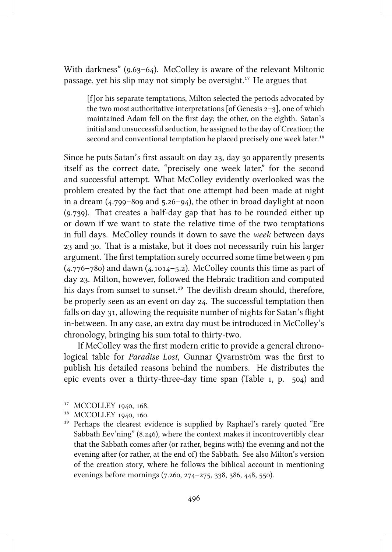With darkness" ( $9.63-64$ ). McColley is aware of the relevant Miltonic passage, yet his slip may not simply be oversight.<sup>17</sup> He argues that

[f]or his separate temptations, Milton selected the periods advocated by the two most authoritative interpretations [of Genesis  $2-3$ ], one of which maintained Adam fell on the first day; the other, on the eighth. Satan's initial and unsuccessful seduction, he assigned to the day of Creation; the second and conventional temptation he placed precisely one week later.<sup>18</sup>

Since he puts Satan's first assault on day 23, day 30 apparently presents itself as the correct date, "precisely one week later," for the second and successful attempt. What McColley evidently overlooked was the problem created by the fact that one attempt had been made at night in a dream  $(4.799 - 809$  and  $5.26 - 94$ ), the other in broad daylight at noon  $(9.739)$ . That creates a half-day gap that has to be rounded either up or down if we want to state the relative time of the two temptations in full days. McColley rounds it down to save the *week* between days 23 and 30. That is a mistake, but it does not necessarily ruin his larger argument. The first temptation surely occurred some time between 9 pm  $(4.776 - 780)$  and dawn  $(4.1014 - 5.2)$ . McColley counts this time as part of day 23. Milton, however, followed the Hebraic tradition and computed his days from sunset to sunset.<sup>19</sup> The devilish dream should, therefore, be properly seen as an event on day 24. The successful temptation then falls on day 31, allowing the requisite number of nights for Satan's flight in-between. In any case, an extra day must be introduced in McColley's chronology, bringing his sum total to thirty-two.

If McColley was the first modern critic to provide a general chronological table for *Paradise Lost*, Gunnar Qvarnström was the first to publish his detailed reasons behind the numbers. He distributes the epic events over a thirty-three-day time span (Table  $1$ ,  $p$ .  $504$ ) and

<sup>&</sup>lt;sup>17</sup> MCCOLLEY 1940, 168.

<sup>&</sup>lt;sup>18</sup> MCCOLLEY 1940, 160.

<sup>&</sup>lt;sup>19</sup> Perhaps the clearest evidence is supplied by Raphael's rarely quoted "Ere Sabbath Eev'ning"  $(8.246)$ , where the context makes it incontrovertibly clear that the Sabbath comes after (or rather, begins with) the evening and not the evening after (or rather, at the end of) the Sabbath. See also Milton's version of the creation story, where he follows the biblical account in mentioning evenings before mornings (7.260, 274-275, 338, 386, 448, 550).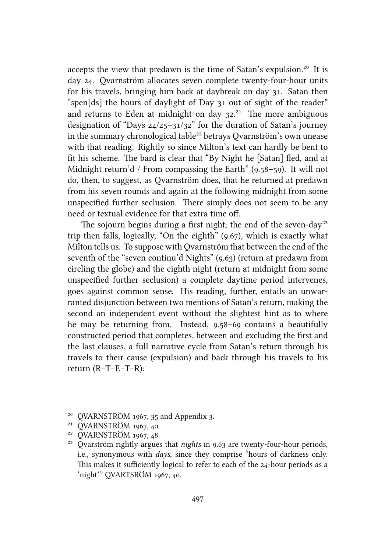accepts the view that predawn is the time of Satan's expulsion.<sup>20</sup> It is day 24. Ovarnström allocates seven complete twenty-four-hour units for his travels, bringing him back at daybreak on day 31. Satan then "spen[ds] the hours of daylight of Day 31 out of sight of the reader" and returns to Eden at midnight on day  $32.^{21}$  The more ambiguous designation of "Days  $24/25-31/32$ " for the duration of Satan's journey in the summary chronological table<sup>22</sup> betrays Qvarnström's own unease with that reading. Rightly so since Milton's text can hardly be bent to fit his scheme. The bard is clear that "By Night he [Satan] fled, and at Midnight return'd / From compassing the Earth"  $(9.58-59)$ . It will not do, then, to suggest, as Qvarnström does, that he returned at predawn from his seven rounds and again at the following midnight from some unspecified further seclusion. There simply does not seem to be any need or textual evidence for that extra time off.

The sojourn begins during a first night; the end of the seven-day<sup>23</sup> trip then falls, logically, "On the eighth"  $(9.67)$ , which is exactly what Milton tells us. To suppose with Qvarnström that between the end of the seventh of the "seven continu'd Nights" (9.63) (return at predawn from circling the globe) and the eighth night (return at midnight from some unspecified further seclusion) a complete daytime period intervenes, goes against common sense. His reading, further, entails an unwarranted disjunction between two mentions of Satan's return, making the second an independent event without the slightest hint as to where he may be returning from. Instead,  $9.58-69$  contains a beautifully constructed period that completes, between and excluding the first and the last clauses, a full narrative cycle from Satan's return through his travels to their cause (expulsion) and back through his travels to his return (R–T–E–T–R):

 $20$  OVARNSTRÖM 1967, 35 and Appendix 3.

<sup>&</sup>lt;sup>21</sup> QVARNSTRÖM 1967, 40.

<sup>&</sup>lt;sup>22</sup> OVARNSTRÖM 1967, 48.

<sup>&</sup>lt;sup>23</sup> Ovarström rightly argues that *nights* in  $9.63$  are twenty-four-hour periods, i.e., synonymous with *days*, since they comprise "hours of darkness only. This makes it sufficiently logical to refer to each of the  $24$ -hour periods as a 'night'." QVARTSRÖM 1967, 40.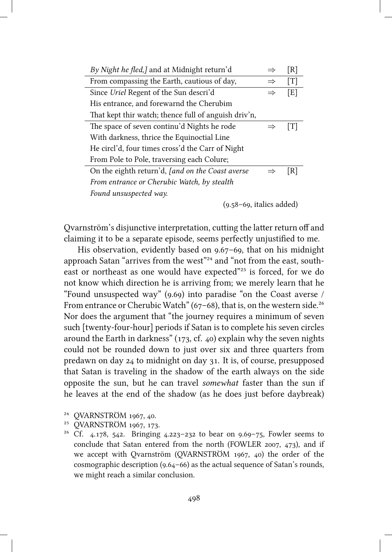| By Night he fled,] and at Midnight return'd          |               | [R] |  |  |  |  |  |
|------------------------------------------------------|---------------|-----|--|--|--|--|--|
| From compassing the Earth, cautious of day,          | $\Rightarrow$ | [T] |  |  |  |  |  |
| Since Uriel Regent of the Sun descri'd               | $\Rightarrow$ | [E] |  |  |  |  |  |
| His entrance, and forewarnd the Cherubim             |               |     |  |  |  |  |  |
| That kept thir watch; thence full of anguish driv'n, |               |     |  |  |  |  |  |
| The space of seven continu'd Nights he rode          |               | ſΤl |  |  |  |  |  |
| With darkness, thrice the Equinoctial Line           |               |     |  |  |  |  |  |
| He circl'd, four times cross'd the Carr of Night     |               |     |  |  |  |  |  |
| From Pole to Pole, traversing each Colure;           |               |     |  |  |  |  |  |
| On the eighth return'd, [and on the Coast averse     |               | [R] |  |  |  |  |  |
| From entrance or Cherubic Watch, by stealth          |               |     |  |  |  |  |  |
| Found unsuspected way.                               |               |     |  |  |  |  |  |
| $(9.58-69,$ italics added)                           |               |     |  |  |  |  |  |

Qvarnström's disjunctive interpretation, cutting the latter return off and claiming it to be a separate episode, seems perfectly unjustified to me.

His observation, evidently based on  $9.67 - 69$ , that on his midnight approach Satan "arrives from the west"<sup>24</sup> and "not from the east, southeast or northeast as one would have expected"<sup>25</sup> is forced, for we do not know which direction he is arriving from; we merely learn that he "Found unsuspected way" (9.69) into paradise "on the Coast averse / From entrance or Cherubic Watch" (67–68), that is, on the western side.<sup>26</sup> Nor does the argument that "the journey requires a minimum of seven such [twenty-four-hour] periods if Satan is to complete his seven circles around the Earth in darkness"  $(173, cf. 40)$  explain why the seven nights could not be rounded down to just over six and three quarters from predawn on day 24 to midnight on day 31. It is, of course, presupposed that Satan is traveling in the shadow of the earth always on the side opposite the sun, but he can travel *somewhat* faster than the sun if he leaves at the end of the shadow (as he does just before daybreak)

<sup>&</sup>lt;sup>24</sup> OVARNSTRÖM 1967, 40.

<sup>&</sup>lt;sup>25</sup> OVARNSTRÖM 1967, 173.

<sup>&</sup>lt;sup>26</sup> Cf. 4.178, 542. Bringing 4.223-232 to bear on 9.69-75, Fowler seems to conclude that Satan entered from the north (FOWLER 2007,  $473$ ), and if we accept with Qvarnström (QVARNSTRÖM  $1967$ , 40) the order of the cosmographic description (9.64-66) as the actual sequence of Satan's rounds, we might reach a similar conclusion.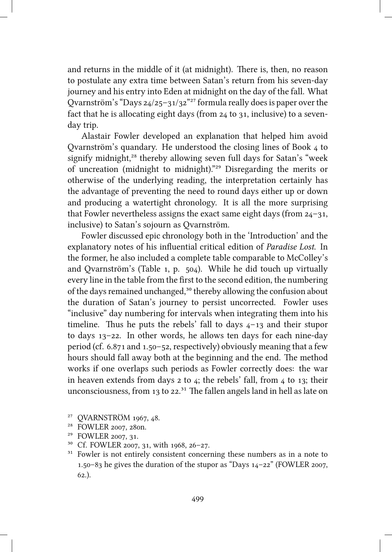and returns in the middle of it (at midnight). There is, then, no reason to postulate any extra time between Satan's return from his seven-day journey and his entry into Eden at midnight on the day of the fall. What Qvarnström's "Days  $24/25-31/32^{227}$  formula really does is paper over the fact that he is allocating eight days (from  $24$  to  $31$ , inclusive) to a sevenday trip.

Alastair Fowler developed an explanation that helped him avoid Qvarnström's quandary. He understood the closing lines of Book 4 to signify midnight,<sup>28</sup> thereby allowing seven full days for Satan's "week of uncreation (midnight to midnight)."<sup>29</sup> Disregarding the merits or otherwise of the underlying reading, the interpretation certainly has the advantage of preventing the need to round days either up or down and producing a watertight chronology. It is all the more surprising that Fowler nevertheless assigns the exact same eight days (from  $24-31$ , inclusive) to Satan's sojourn as Qvarnström.

Fowler discussed epic chronology both in the 'Introduction' and the explanatory notes of his influential critical edition of *Paradise Lost*. In the former, he also included a complete table comparable to McColley's and Qvarnström's (Table 1, p. 504). While he did touch up virtually every line in the table from the first to the second edition, the numbering of the days remained unchanged,<sup>30</sup> thereby allowing the confusion about the duration of Satan's journey to persist uncorrected. Fowler uses "inclusive" day numbering for intervals when integrating them into his timeline. Thus he puts the rebels' fall to days  $4-13$  and their stupor to days  $13-22$ . In other words, he allows ten days for each nine-day period (cf.  $6.871$  and  $1.50 - 52$ , respectively) obviously meaning that a few hours should fall away both at the beginning and the end. The method works if one overlaps such periods as Fowler correctly does: the war in heaven extends from days  $2$  to  $4$ ; the rebels' fall, from  $4$  to 13; their unconsciousness, from  $13$  to  $22.^{31}$ . The fallen angels land in hell as late on

<sup>&</sup>lt;sup>27</sup> QVARNSTRÖM 1967, 48.

<sup>&</sup>lt;sup>28</sup> FOWLER 2007, 280n.

<sup>&</sup>lt;sup>29</sup> FOWLER 2007, 31.

<sup>&</sup>lt;sup>30</sup> Cf. FOWLER 2007, 31, with 1968, 26-27.

 $31$  Fowler is not entirely consistent concerning these numbers as in a note to 1.50–83 he gives the duration of the stupor as "Days  $14-22$ " (FOWLER 2007,  $62.$ ).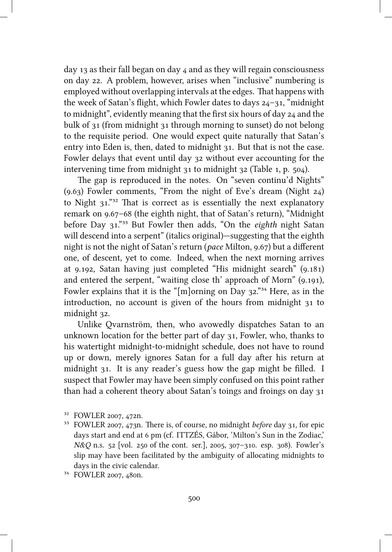day 13 as their fall began on day  $\mu$  and as they will regain consciousness on day 22. A problem, however, arises when "inclusive" numbering is employed without overlapping intervals at the edges. That happens with the week of Satan's flight, which Fowler dates to days  $24-31$ , "midnight" to midnight", evidently meaning that the first six hours of day  $24$  and the bulk of  $31$  (from midnight  $31$  through morning to sunset) do not belong to the requisite period. One would expect quite naturally that Satan's entry into Eden is, then, dated to midnight 31. But that is not the case. Fowler delays that event until day 32 without ever accounting for the intervening time from midnight  $31$  to midnight  $32$  (Table 1, p.  $504$ ).

The gap is reproduced in the notes. On "seven continu'd Nights" (9.63) Fowler comments, "From the night of Eve's dream (Night  $24$ ) to Night  $31.^{"32}$  That is correct as is essentially the next explanatory remark on 9.67–68 (the eighth night, that of Satan's return), "Midnight before Day 31."<sup>33</sup> But Fowler then adds, "On the *eighth* night Satan will descend into a serpent" (italics original)—suggesting that the eighth night is not the night of Satan's return (*pace* Milton, 9.67) but a different one, of descent, yet to come. Indeed, when the next morning arrives at 9.192, Satan having just completed "His midnight search" (9.181) and entered the serpent, "waiting close th' approach of Morn" (9.191), Fowler explains that it is the "[m]orning on Day  $32.^{334}$  Here, as in the introduction, no account is given of the hours from midnight to midnight 32.

Unlike Ovarnström, then, who avowedly dispatches Satan to an unknown location for the better part of day 31, Fowler, who, thanks to his watertight midnight-to-midnight schedule, does not have to round up or down, merely ignores Satan for a full day after his return at midnight 31. It is any reader's guess how the gap might be filled. I suspect that Fowler may have been simply confused on this point rather than had a coherent theory about Satan's toings and froings on day

<sup>&</sup>lt;sup>32</sup> FOWLER 2007, 472n.

<sup>&</sup>lt;sup>33</sup> FOWLER 2007, 473n. There is, of course, no midnight *before* day 31, for epic days start and end at 6 pm (cf. ITTZÉS, Gábor, 'Milton's Sun in the Zodiac,' *N&Q* n.s. 52 [vol. 250 of the cont. ser.], 2005, 307-310. esp. 308). Fowler's slip may have been facilitated by the ambiguity of allocating midnights to days in the civic calendar.

<sup>&</sup>lt;sup>34</sup> FOWLER 2007, 480n.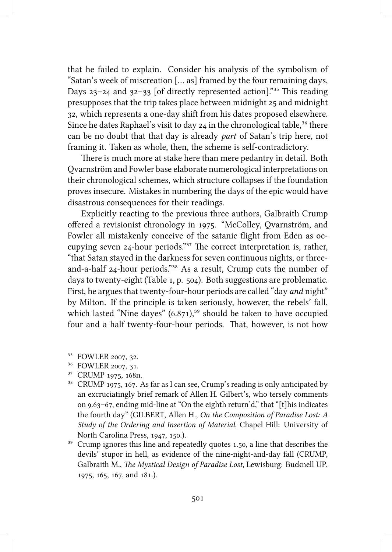that he failed to explain. Consider his analysis of the symbolism of "Satan's week of miscreation [… as] framed by the four remaining days, Days  $23-24$  and  $32-33$  [of directly represented action]."<sup>35</sup> This reading presupposes that the trip takes place between midnight 25 and midnight 32, which represents a one-day shift from his dates proposed elsewhere. Since he dates Raphael's visit to day  $24$  in the chronological table,<sup>36</sup> there can be no doubt that that day is already *part* of Satan's trip here, not framing it. Taken as whole, then, the scheme is self-contradictory.

There is much more at stake here than mere pedantry in detail. Both Qvarnström and Fowler base elaborate numerological interpretations on their chronological schemes, which structure collapses if the foundation proves insecure. Mistakes in numbering the days of the epic would have disastrous consequences for their readings.

Explicitly reacting to the previous three authors, Galbraith Crump offered a revisionist chronology in 1975. "McColley, Ovarnström, and Fowler all mistakenly conceive of the satanic flight from Eden as occupying seven  $24$ -hour periods."<sup>37</sup> The correct interpretation is, rather, "that Satan stayed in the darkness for seven continuous nights, or threeand-a-half 24-hour periods."<sup>38</sup> As a result, Crump cuts the number of days to twenty-eight (Table 1, p.  $504$ ). Both suggestions are problematic. First, he argues that twenty-four-hour periods are called "day *and* night" by Milton. If the principle is taken seriously, however, the rebels' fall, which lasted "Nine dayes"  $(6.871)$ ,<sup>39</sup> should be taken to have occupied four and a half twenty-four-hour periods. That, however, is not how

- <sup>35</sup> FOWLER 2007, 32.
- <sup>36</sup> FOWLER 2007, 31.
- <sup>37</sup> CRUMP 1975, 168n.
- $38$  CRUMP 1975, 167. As far as I can see, Crump's reading is only anticipated by an excruciatingly brief remark of Allen H. Gilbert's, who tersely comments on  $9.63-67$ , ending mid-line at "On the eighth return'd," that "[t]his indicates the fourth day" (GILBERT, Allen H., *On the Composition of Paradise Lost: A Study of the Ordering and Insertion of Material*, Chapel Hill: University of North Carolina Press, 1947, 150.).
- <sup>39</sup> Crump ignores this line and repeatedly quotes 1.50, a line that describes the devils' stupor in hell, as evidence of the nine-night-and-day fall (CRUMP, Galbraith M., *The Mystical Design of Paradise Lost*, Lewisburg: Bucknell UP, 1975, 165, 167, and 181.).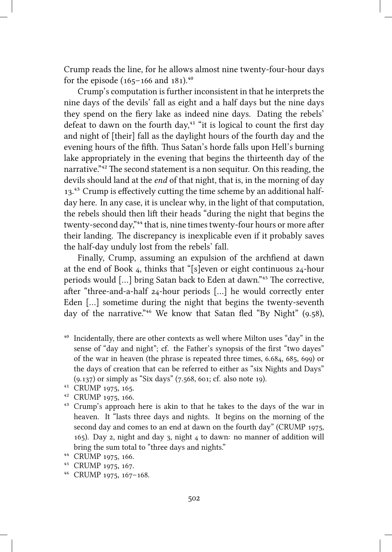Crump reads the line, for he allows almost nine twenty-four-hour days for the episode  $(165-166$  and  $181).^{40}$ 

Crump's computation is further inconsistent in that he interprets the nine days of the devils' fall as eight and a half days but the nine days they spend on the fiery lake as indeed nine days. Dating the rebels' defeat to dawn on the fourth day, $41$  "it is logical to count the first day and night of [their] fall as the daylight hours of the fourth day and the evening hours of the fifth. Thus Satan's horde falls upon Hell's burning lake appropriately in the evening that begins the thirteenth day of the narrative."<sup>42</sup> The second statement is a non sequitur. On this reading, the devils should land at the *end* of that night, that is, in the morning of day 13.<sup>43</sup> Crump is effectively cutting the time scheme by an additional halfday here. In any case, it is unclear why, in the light of that computation, the rebels should then lift their heads "during the night that begins the twenty-second day,"<sup>44</sup> that is, nine times twenty-four hours or more after their landing. The discrepancy is inexplicable even if it probably saves the half-day unduly lost from the rebels' fall.

Finally, Crump, assuming an expulsion of the archfiend at dawn at the end of Book  $_4$ , thinks that "[s]even or eight continuous  $_{24}$ -hour periods would [...] bring Satan back to Eden at dawn."<sup>45</sup> The corrective, after "three-and-a-half  $24$ -hour periods [...] he would correctly enter Eden […] sometime during the night that begins the twenty-seventh day of the narrative."<sup>46</sup> We know that Satan fled "By Night" (9.58),

⁴⁰ Incidentally, there are other contexts as well where Milton uses "day" in the sense of "day and night"; cf. the Father's synopsis of the first "two dayes" of the war in heaven (the phrase is repeated three times,  $6.684$ ,  $685$ ,  $699$ ) or the days of creation that can be referred to either as "six Nights and Days"  $(9.137)$  or simply as "Six days"  $(7.568, 601; \text{cf. also note } 19)$ .

<sup>43</sup> Crump's approach here is akin to that he takes to the days of the war in heaven. It "lasts three days and nights. It begins on the morning of the second day and comes to an end at dawn on the fourth day" (CRUMP 1975, 165). Day 2, night and day 3, night  $\mu$  to dawn: no manner of addition will bring the sum total to "three days and nights."

<sup>46</sup> CRUMP 1975, 167-168.

<sup>&</sup>lt;sup>41</sup> CRUMP 1975, 165.

<sup>&</sup>lt;sup>42</sup> CRUMP 1975, 166.

<sup>&</sup>lt;sup>44</sup> CRUMP 1975, 166.

<sup>&</sup>lt;sup>45</sup> CRUMP 1975, 167.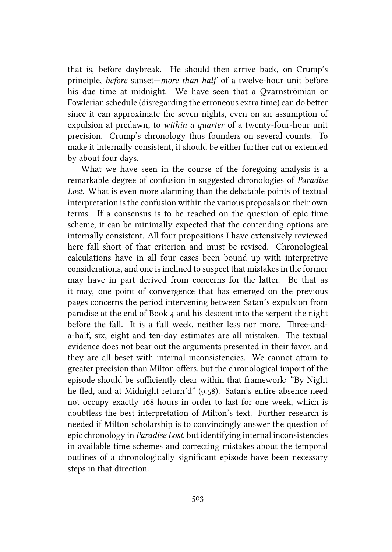that is, before daybreak. He should then arrive back, on Crump's principle, *before* sunset—*more than half* of a twelve-hour unit before his due time at midnight. We have seen that a Qvarnströmian or Fowlerian schedule (disregarding the erroneous extra time) can do better since it can approximate the seven nights, even on an assumption of expulsion at predawn, to *within a quarter* of a twenty-four-hour unit precision. Crump's chronology thus founders on several counts. To make it internally consistent, it should be either further cut or extended by about four days.

What we have seen in the course of the foregoing analysis is a remarkable degree of confusion in suggested chronologies of *Paradise Lost*. What is even more alarming than the debatable points of textual interpretation is the confusion within the various proposals on their own terms. If a consensus is to be reaed on the question of epic time scheme, it can be minimally expected that the contending options are internally consistent. All four propositions I have extensively reviewed here fall short of that criterion and must be revised. Chronological calculations have in all four cases been bound up with interpretive considerations, and one is inclined to suspect that mistakes in the former may have in part derived from concerns for the latter. Be that as it may, one point of convergence that has emerged on the previous pages concerns the period intervening between Satan's expulsion from paradise at the end of Book  $_4$  and his descent into the serpent the night before the fall. It is a full week, neither less nor more. Three-anda-half, six, eight and ten-day estimates are all mistaken. The textual evidence does not bear out the arguments presented in their favor, and they are all beset with internal inconsistencies. We cannot attain to greater precision than Milton offers, but the chronological import of the episode should be sufficiently clear within that framework: "By Night he fled, and at Midnight return'd" (9.58). Satan's entire absence need not occupy exactly 168 hours in order to last for one week, which is doubtless the best interpretation of Milton's text. Further research is needed if Milton scholarship is to convincingly answer the question of epic ronology in *Paradise Lost*, but identifying internal inconsistencies in available time schemes and correcting mistakes about the temporal outlines of a chronologically significant episode have been necessary steps in that direction.